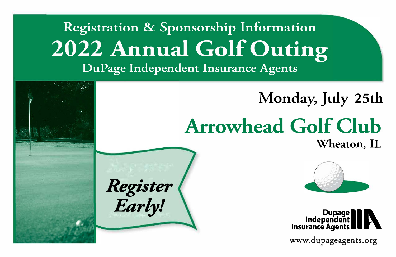## Registration & Sponsorship Information **2022 Annual Golf Outing** DuPage Independent Insurance Agents

# Monday, July 25th **Arrowhead Golf Club**

Wheaton, IL





www.dupageagents.org

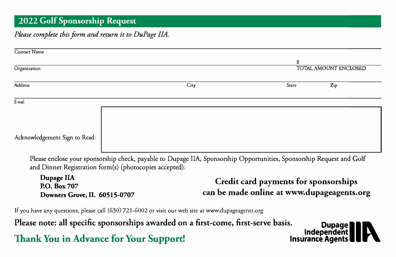#### **2022 Golf Sponsorship Request**

#### *Please complete this form and return it to DuPage IIA.*

| <b>Contact Name</b>           |                                                                                                                       |       |                       |
|-------------------------------|-----------------------------------------------------------------------------------------------------------------------|-------|-----------------------|
|                               |                                                                                                                       |       |                       |
| Organization                  |                                                                                                                       |       | TOTAL AMOUNT ENCLOSED |
| Address                       | City                                                                                                                  | State | Zip                   |
|                               |                                                                                                                       |       |                       |
| E-mail                        |                                                                                                                       |       |                       |
|                               |                                                                                                                       |       |                       |
|                               |                                                                                                                       |       |                       |
| Acknowledgement Sign to Read: |                                                                                                                       |       |                       |
|                               |                                                                                                                       |       |                       |
|                               |                                                                                                                       |       |                       |
|                               | Please enclose your sponsorship check, payable to Dupage IIA, Sponsorship Opportunities, Sponsorship Request and Golf |       |                       |

and Dinner Registration form(s) (photocopies accepted):

**DupageIIA P.O. Box707 Downers Grove, IL 60515-0707 Credit card payments for sponsorships can be made online at www.dupageagents.org** 

If you have any questions, please call (630) 721-6002 or visit our web site at www.dupageagents.org

Please note: all specific sponsorships awarded on a first-come, first-serve basis. **Dupage<br>Independent** *Independent*<br>Insurance Agents **Insurance Agents**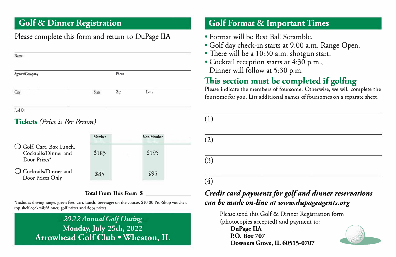### **Golf & Dinner Registration**

#### Please complete this form and return to DuPage IIA

| Name           |       |                |        |  |
|----------------|-------|----------------|--------|--|
| Agency/Company |       | Phone          |        |  |
| City           | State | $\mathbf{Zip}$ | E-mail |  |
| Paid On        |       |                |        |  |

#### **Tickets** *(Price is Per Person)*

|                                                                  | Member | Non-Member |  |
|------------------------------------------------------------------|--------|------------|--|
| O Golf, Cart, Box Lunch,<br>Cocktails/Dinner and<br>Door Prizes* | \$185  | \$195      |  |
| $\bigcirc$ Cocktails/Dinner and<br>Door Prizes Only              | \$85   | \$95       |  |

#### **Total From This Form** *\$*

\*Includes driving range, green fees, cart, lunch, beverages on the course, \$10.00 Pro-Shop voucher, top shelf cocktails/dinner, golf prizes and door prizes.

> *2022Annual Golf Outing*  **Monday,July 25th, 2022 Arrowhead Golf Club • Wheaton, IL**

#### **Golf Format & Important Times**

- Format will be Best Ball Scramble.
- Golf day check-in starts at 9:00 a.m. Range Open.
- There will be a 10:30 a.m. shotgun start.
- Cocktail reception starts at 4:30 p.m., Dinner will follow at 5:30 p.m.

## **This section must be completed if golfing**

Please indicate the members of foursome. Otherwise, we will complete the foursome for you. List additional names of foursomes on a separate sheet.

| (1) |  |
|-----|--|
| (2) |  |
| (3) |  |
| (4) |  |

#### *Credit card payments for golf and dinner reservations can be made on-line at www.dupageagents.org*

Please send this Golf & Dinner Registration form (photocopies accepted) and payment to: **D��eIIA � P.O. Box707 Downers Grove, IL 60515-0707**